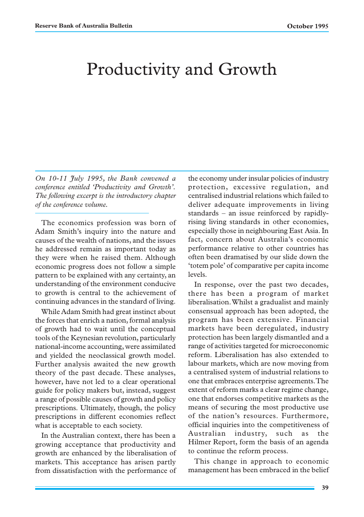# Productivity and Growth

*On 10-11 July 1995, the Bank convened a conference entitled 'Productivity and Growth'. The following excerpt is the introductory chapter of the conference volume.*

The economics profession was born of Adam Smith's inquiry into the nature and causes of the wealth of nations, and the issues he addressed remain as important today as they were when he raised them. Although economic progress does not follow a simple pattern to be explained with any certainty, an understanding of the environment conducive to growth is central to the achievement of continuing advances in the standard of living.

While Adam Smith had great instinct about the forces that enrich a nation, formal analysis of growth had to wait until the conceptual tools of the Keynesian revolution, particularly national-income accounting, were assimilated and yielded the neoclassical growth model. Further analysis awaited the new growth theory of the past decade. These analyses, however, have not led to a clear operational guide for policy makers but, instead, suggest a range of possible causes of growth and policy prescriptions. Ultimately, though, the policy prescriptions in different economies reflect what is acceptable to each society.

In the Australian context, there has been a growing acceptance that productivity and growth are enhanced by the liberalisation of markets. This acceptance has arisen partly from dissatisfaction with the performance of the economy under insular policies of industry protection, excessive regulation, and centralised industrial relations which failed to deliver adequate improvements in living standards – an issue reinforced by rapidlyrising living standards in other economies, especially those in neighbouring East Asia. In fact, concern about Australia's economic performance relative to other countries has often been dramatised by our slide down the 'totem pole' of comparative per capita income levels.

In response, over the past two decades, there has been a program of market liberalisation. Whilst a gradualist and mainly consensual approach has been adopted, the program has been extensive. Financial markets have been deregulated, industry protection has been largely dismantled and a range of activities targeted for microeconomic reform. Liberalisation has also extended to labour markets, which are now moving from a centralised system of industrial relations to one that embraces enterprise agreements. The extent of reform marks a clear regime change, one that endorses competitive markets as the means of securing the most productive use of the nation's resources. Furthermore, official inquiries into the competitiveness of Australian industry, such as the Hilmer Report, form the basis of an agenda to continue the reform process.

This change in approach to economic management has been embraced in the belief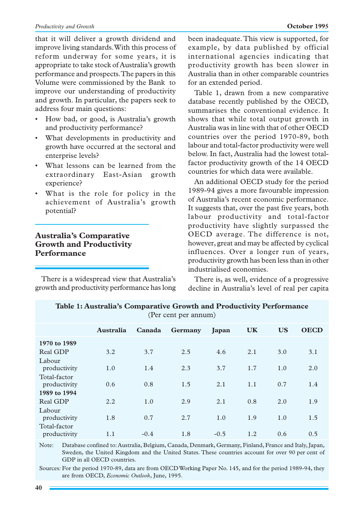that it will deliver a growth dividend and improve living standards. With this process of reform underway for some years, it is appropriate to take stock of Australia's growth performance and prospects. The papers in this Volume were commissioned by the Bank to improve our understanding of productivity and growth. In particular, the papers seek to address four main questions:

- How bad, or good, is Australia's growth and productivity performance?
- What developments in productivity and growth have occurred at the sectoral and enterprise levels?
- What lessons can be learned from the extraordinary East-Asian growth experience?
- What is the role for policy in the achievement of Australia's growth potential?

## **Australia's Comparative Growth and Productivity Performance**

There is a widespread view that Australia's growth and productivity performance has long been inadequate. This view is supported, for example, by data published by official international agencies indicating that productivity growth has been slower in Australia than in other comparable countries for an extended period.

Table 1, drawn from a new comparative database recently published by the OECD, summarises the conventional evidence. It shows that while total output growth in Australia was in line with that of other OECD countries over the period 1970-89, both labour and total-factor productivity were well below. In fact, Australia had the lowest totalfactor productivity growth of the 14 OECD countries for which data were available.

An additional OECD study for the period 1989-94 gives a more favourable impression of Australia's recent economic performance. It suggests that, over the past five years, both labour productivity and total-factor productivity have slightly surpassed the OECD average. The difference is not, however, great and may be affected by cyclical influences. Over a longer run of years, productivity growth has been less than in other industrialised economies.

There is, as well, evidence of a progressive decline in Australia's level of real per capita

| (Per cent per annum)         |           |        |         |        |           |           |             |
|------------------------------|-----------|--------|---------|--------|-----------|-----------|-------------|
|                              | Australia | Canada | Germany | Japan  | <b>UK</b> | <b>US</b> | <b>OECD</b> |
| 1970 to 1989                 |           |        |         |        |           |           |             |
| Real GDP                     | 3.2       | 3.7    | 2.5     | 4.6    | 2.1       | 3.0       | 3.1         |
| Labour<br>productivity       | 1.0       | 1.4    | 2.3     | 3.7    | 1.7       | 1.0       | 2.0         |
| Total-factor<br>productivity | 0.6       | 0.8    | 1.5     | 2.1    | 1.1       | 0.7       | 1.4         |
| 1989 to 1994                 |           |        |         |        |           |           |             |
| Real GDP                     | 2.2       | 1.0    | 2.9     | 2.1    | 0.8       | 2.0       | 1.9         |
| Labour<br>productivity       | 1.8       | 0.7    | 2.7     | 1.0    | 1.9       | 1.0       | 1.5         |
| Total-factor<br>productivity | 1.1       | $-0.4$ | 1.8     | $-0.5$ | 1.2       | 0.6       | 0.5         |

**Table 1: Australia's Comparative Growth and Productivity Performance**

Note: Database confined to: Australia, Belgium, Canada, Denmark, Germany, Finland, France and Italy, Japan, Sweden, the United Kingdom and the United States. These countries account for over 90 per cent of GDP in all OECD countries.

Sources: For the period 1970-89, data are from OECD Working Paper No. 145, and for the period 1989-94, they are from OECD, *Economic Outlook*, June, 1995.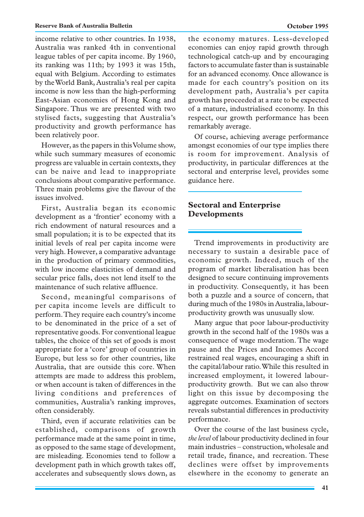income relative to other countries. In 1938, Australia was ranked 4th in conventional league tables of per capita income. By 1960, its ranking was 11th; by 1993 it was 15th, equal with Belgium. According to estimates by the World Bank, Australia's real per capita income is now less than the high-performing East-Asian economies of Hong Kong and Singapore. Thus we are presented with two stylised facts, suggesting that Australia's productivity and growth performance has been relatively poor.

However, as the papers in this Volume show, while such summary measures of economic progress are valuable in certain contexts, they can be naive and lead to inappropriate conclusions about comparative performance. Three main problems give the flavour of the issues involved.

First, Australia began its economic development as a 'frontier' economy with a rich endowment of natural resources and a small population; it is to be expected that its initial levels of real per capita income were very high. However, a comparative advantage in the production of primary commodities, with low income elasticities of demand and secular price falls, does not lend itself to the maintenance of such relative affluence.

Second, meaningful comparisons of per capita income levels are difficult to perform. They require each country's income to be denominated in the price of a set of representative goods. For conventional league tables, the choice of this set of goods is most appropriate for a 'core' group of countries in Europe, but less so for other countries, like Australia, that are outside this core. When attempts are made to address this problem, or when account is taken of differences in the living conditions and preferences of communities, Australia's ranking improves, often considerably.

Third, even if accurate relativities can be established, comparisons of growth performance made at the same point in time, as opposed to the same stage of development, are misleading. Economies tend to follow a development path in which growth takes off, accelerates and subsequently slows down, as

the economy matures. Less-developed economies can enjoy rapid growth through technological catch-up and by encouraging factors to accumulate faster than is sustainable for an advanced economy. Once allowance is made for each country's position on its development path, Australia's per capita growth has proceeded at a rate to be expected of a mature, industrialised economy. In this respect, our growth performance has been remarkably average.

Of course, achieving average performance amongst economies of our type implies there is room for improvement. Analysis of productivity, in particular differences at the sectoral and enterprise level, provides some guidance here.

### **Sectoral and Enterprise Developments**

Trend improvements in productivity are necessary to sustain a desirable pace of economic growth. Indeed, much of the program of market liberalisation has been designed to secure continuing improvements in productivity. Consequently, it has been both a puzzle and a source of concern, that during much of the 1980s in Australia, labourproductivity growth was unusually slow.

Many argue that poor labour-productivity growth in the second half of the 1980s was a consequence of wage moderation. The wage pause and the Prices and Incomes Accord restrained real wages, encouraging a shift in the capital/labour ratio. While this resulted in increased employment, it lowered labourproductivity growth. But we can also throw light on this issue by decomposing the aggregate outcomes. Examination of sectors reveals substantial differences in productivity performance.

Over the course of the last business cycle, *the level* of labour productivity declined in four main industries – construction, wholesale and retail trade, finance, and recreation. These declines were offset by improvements elsewhere in the economy to generate an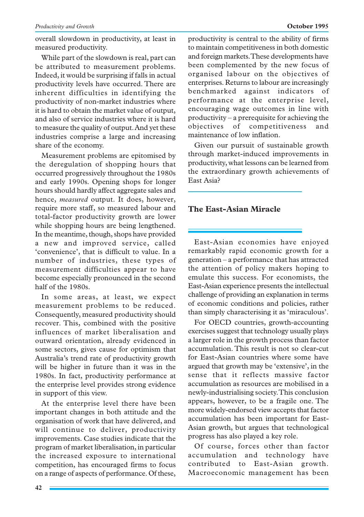While part of the slowdown is real, part can be attributed to measurement problems. Indeed, it would be surprising if falls in actual productivity levels have occurred. There are inherent difficulties in identifying the productivity of non-market industries where it is hard to obtain the market value of output, and also of service industries where it is hard to measure the quality of output. And yet these industries comprise a large and increasing share of the economy.

Measurement problems are epitomised by the deregulation of shopping hours that occurred progressively throughout the 1980s and early 1990s. Opening shops for longer hours should hardly affect aggregate sales and hence, *measured* output. It does, however, require more staff, so measured labour and total-factor productivity growth are lower while shopping hours are being lengthened. In the meantime, though, shops have provided a new and improved service, called 'convenience', that is difficult to value. In a number of industries, these types of measurement difficulties appear to have become especially pronounced in the second half of the 1980s.

In some areas, at least, we expect measurement problems to be reduced. Consequently, measured productivity should recover. This, combined with the positive influences of market liberalisation and outward orientation, already evidenced in some sectors, gives cause for optimism that Australia's trend rate of productivity growth will be higher in future than it was in the 1980s. In fact, productivity performance at the enterprise level provides strong evidence in support of this view.

At the enterprise level there have been important changes in both attitude and the organisation of work that have delivered, and will continue to deliver, productivity improvements. Case studies indicate that the program of market liberalisation, in particular the increased exposure to international competition, has encouraged firms to focus on a range of aspects of performance. Of these, productivity is central to the ability of firms to maintain competitiveness in both domestic and foreign markets. These developments have been complemented by the new focus of organised labour on the objectives of enterprises. Returns to labour are increasingly benchmarked against indicators performance at the enterprise level, encouraging wage outcomes in line with productivity – a prerequisite for achieving the objectives of competitiveness and maintenance of low inflation.

Given our pursuit of sustainable growth through market-induced improvements in productivity, what lessons can be learned from the extraordinary growth achievements of East Asia?

#### **The East-Asian Miracle**

East-Asian economies have enjoyed remarkably rapid economic growth for a generation – a performance that has attracted the attention of policy makers hoping to emulate this success. For economists, the East-Asian experience presents the intellectual challenge of providing an explanation in terms of economic conditions and policies, rather than simply characterising it as 'miraculous'.

For OECD countries, growth-accounting exercises suggest that technology usually plays a larger role in the growth process than factor accumulation. This result is not so clear-cut for East-Asian countries where some have argued that growth may be 'extensive', in the sense that it reflects massive factor accumulation as resources are mobilised in a newly-industrialising society. This conclusion appears, however, to be a fragile one. The more widely-endorsed view accepts that factor accumulation has been important for East-Asian growth, but argues that technological progress has also played a key role.

Of course, forces other than factor accumulation and technology have contributed to East-Asian growth. Macroeconomic management has been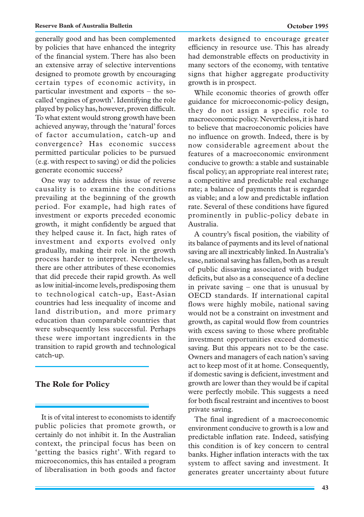generally good and has been complemented by policies that have enhanced the integrity of the financial system. There has also been an extensive array of selective interventions designed to promote growth by encouraging certain types of economic activity, in particular investment and exports – the socalled 'engines of growth'. Identifying the role played by policy has, however, proven difficult. To what extent would strong growth have been achieved anyway, through the 'natural' forces of factor accumulation, catch-up and convergence? Has economic success permitted particular policies to be pursued (e.g. with respect to saving) or did the policies generate economic success?

One way to address this issue of reverse causality is to examine the conditions prevailing at the beginning of the growth period. For example, had high rates of investment or exports preceded economic growth, it might confidently be argued that they helped cause it. In fact, high rates of investment and exports evolved only gradually, making their role in the growth process harder to interpret. Nevertheless, there are other attributes of these economies that did precede their rapid growth. As well as low initial-income levels, predisposing them to technological catch-up, East-Asian countries had less inequality of income and land distribution, and more primary education than comparable countries that were subsequently less successful. Perhaps these were important ingredients in the transition to rapid growth and technological catch-up.

#### **The Role for Policy**

It is of vital interest to economists to identify public policies that promote growth, or certainly do not inhibit it. In the Australian context, the principal focus has been on 'getting the basics right'. With regard to microeconomics, this has entailed a program of liberalisation in both goods and factor markets designed to encourage greater efficiency in resource use. This has already had demonstrable effects on productivity in many sectors of the economy, with tentative signs that higher aggregate productivity growth is in prospect.

While economic theories of growth offer guidance for microeconomic-policy design, they do not assign a specific role to macroeconomic policy. Nevertheless, it is hard to believe that macroeconomic policies have no influence on growth. Indeed, there is by now considerable agreement about the features of a macroeconomic environment conducive to growth: a stable and sustainable fiscal policy; an appropriate real interest rate; a competitive and predictable real exchange rate; a balance of payments that is regarded as viable; and a low and predictable inflation rate. Several of these conditions have figured prominently in public-policy debate in Australia.

A country's fiscal position, the viability of its balance of payments and its level of national saving are all inextricably linked. In Australia's case, national saving has fallen, both as a result of public dissaving associated with budget deficits, but also as a consequence of a decline in private saving – one that is unusual by OECD standards. If international capital flows were highly mobile, national saving would not be a constraint on investment and growth, as capital would flow from countries with excess saving to those where profitable investment opportunities exceed domestic saving. But this appears not to be the case. Owners and managers of each nation's saving act to keep most of it at home. Consequently, if domestic saving is deficient, investment and growth are lower than they would be if capital were perfectly mobile. This suggests a need for both fiscal restraint and incentives to boost private saving.

The final ingredient of a macroeconomic environment conducive to growth is a low and predictable inflation rate. Indeed, satisfying this condition is of key concern to central banks. Higher inflation interacts with the tax system to affect saving and investment. It generates greater uncertainty about future